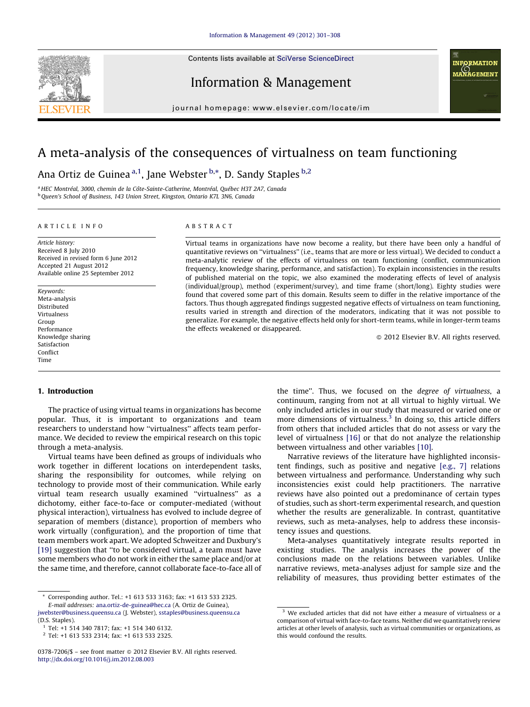Contents lists available at SciVerse [ScienceDirect](http://www.sciencedirect.com/science/journal/03787206)



Information & Management



journal homepage: www.elsevier.com/locate/im

# A meta-analysis of the consequences of virtualness on team functioning

Ana Ortiz de Guinea<sup>a,1</sup>, Jane Webster<sup>b,\*</sup>, D. Sandy Staples<sup>b,2</sup>

<sup>a</sup> HEC Montréal, 3000, chemin de la Côte-Sainte-Catherine, Montréal, Ouébec H3T 2A7, Canada <sup>b</sup> Queen's School of Business, 143 Union Street, Kingston, Ontario K7L 3N6, Canada

#### A R T I C L E I N F O

Article history: Received 8 July 2010 Received in revised form 6 June 2012 Accepted 21 August 2012 Available online 25 September 2012

Keywords: Meta-analysis Distributed Virtualness Group Performance Knowledge sharing Satisfaction Conflict Time

#### A B S T R A C T

Virtual teams in organizations have now become a reality, but there have been only a handful of quantitative reviews on ''virtualness'' (i.e., teams that are more or less virtual). We decided to conduct a meta-analytic review of the effects of virtualness on team functioning (conflict, communication frequency, knowledge sharing, performance, and satisfaction). To explain inconsistencies in the results of published material on the topic, we also examined the moderating effects of level of analysis (individual/group), method (experiment/survey), and time frame (short/long). Eighty studies were found that covered some part of this domain. Results seem to differ in the relative importance of the factors. Thus though aggregated findings suggested negative effects of virtualness on team functioning, results varied in strength and direction of the moderators, indicating that it was not possible to generalize. For example, the negative effects held only for short-term teams, while in longer-term teams the effects weakened or disappeared.

- 2012 Elsevier B.V. All rights reserved.

#### 1. Introduction

The practice of using virtual teams in organizations has become popular. Thus, it is important to organizations and team researchers to understand how ''virtualness'' affects team performance. We decided to review the empirical research on this topic through a meta-analysis.

Virtual teams have been defined as groups of individuals who work together in different locations on interdependent tasks, sharing the responsibility for outcomes, while relying on technology to provide most of their communication. While early virtual team research usually examined ''virtualness'' as a dichotomy, either face-to-face or computer-mediated (without physical interaction), virtualness has evolved to include degree of separation of members (distance), proportion of members who work virtually (configuration), and the proportion of time that team members work apart. We adopted Schweitzer and Duxbury's [\[19\]](#page--1-0) suggestion that "to be considered virtual, a team must have some members who do not work in either the same place and/or at the same time, and therefore, cannot collaborate face-to-face all of

Corresponding author. Tel.: +1 613 533 3163; fax: +1 613 533 2325. E-mail addresses: [ana.ortiz-de-guinea@hec.ca](mailto:ana.ortiz-de-guinea@hec.ca) (A. Ortiz de Guinea),

[jwebster@business.queensu.ca](mailto:jwebster@business.queensu.ca) (J. Webster), [sstaples@business.queensu.ca](mailto:sstaples@business.queensu.ca) (D.S. Staples).

the time''. Thus, we focused on the degree of virtualness, a continuum, ranging from not at all virtual to highly virtual. We only included articles in our study that measured or varied one or more dimensions of virtualness.<sup>3</sup> In doing so, this article differs from others that included articles that do not assess or vary the level of virtualness [\[16\]](#page--1-0) or that do not analyze the relationship between virtualness and other variables [\[10\].](#page--1-0)

Narrative reviews of the literature have highlighted inconsistent findings, such as positive and negative [\[e.g.,](#page--1-0) 7] relations between virtualness and performance. Understanding why such inconsistencies exist could help practitioners. The narrative reviews have also pointed out a predominance of certain types of studies, such as short-term experimental research, and question whether the results are generalizable. In contrast, quantitative reviews, such as meta-analyses, help to address these inconsistency issues and questions.

Meta-analyses quantitatively integrate results reported in existing studies. The analysis increases the power of the conclusions made on the relations between variables. Unlike narrative reviews, meta-analyses adjust for sample size and the reliability of measures, thus providing better estimates of the

<sup>1</sup> Tel: +1 514 340 7817; fax: +1 514 340 6132.

<sup>2</sup> Tel: +1 613 533 2314; fax: +1 613 533 2325.

<sup>0378-7206/\$ –</sup> see front matter © 2012 Elsevier B.V. All rights reserved. <http://dx.doi.org/10.1016/j.im.2012.08.003>

<sup>&</sup>lt;sup>3</sup> We excluded articles that did not have either a measure of virtualness or a comparison of virtual with face-to-face teams. Neither did we quantitatively review articles at other levels of analysis, such as virtual communities or organizations, as this would confound the results.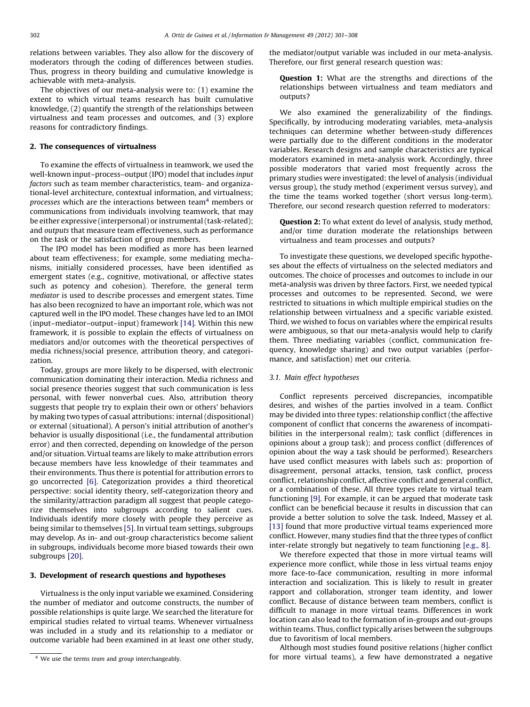relations between variables. They also allow for the discovery of moderators through the coding of differences between studies. Thus, progress in theory building and cumulative knowledge is achievable with meta-analysis.

The objectives of our meta-analysis were to: (1) examine the extent to which virtual teams research has built cumulative knowledge, (2) quantify the strength of the relationships between virtualness and team processes and outcomes, and (3) explore reasons for contradictory findings.

### 2. The consequences of virtualness

To examine the effects of virtualness in teamwork, we used the well-known input–process–output (IPO) model that includes input factors such as team member characteristics, team- and organizational-level architecture, contextual information, and virtualness; processes which are the interactions between team<sup>4</sup> members or communications from individuals involving teamwork, that may be either expressive (interpersonal) or instrumental(task-related); and outputs that measure team effectiveness, such as performance on the task or the satisfaction of group members.

The IPO model has been modified as more has been learned about team effectiveness; for example, some mediating mechanisms, initially considered processes, have been identified as emergent states (e.g., cognitive, motivational, or affective states such as potency and cohesion). Therefore, the general term mediator is used to describe processes and emergent states. Time has also been recognized to have an important role, which was not captured well in the IPO model. These changes have led to an IMOI (input–mediator–output–input) framework [\[14\]](#page--1-0). Within this new framework, it is possible to explain the effects of virtualness on mediators and/or outcomes with the theoretical perspectives of media richness/social presence, attribution theory, and categorization.

Today, groups are more likely to be dispersed, with electronic communication dominating their interaction. Media richness and social presence theories suggest that such communication is less personal, with fewer nonverbal cues. Also, attribution theory suggests that people try to explain their own or others' behaviors by making two types of casual attributions: internal (dispositional) or external (situational). A person's initial attribution of another's behavior is usually dispositional (i.e., the fundamental attribution error) and then corrected, depending on knowledge of the person and/or situation. Virtual teams are likely to make attribution errors because members have less knowledge of their teammates and their environments. Thus there is potential for attribution errors to go uncorrected [\[6\]](#page--1-0). Categorization provides a third theoretical perspective: social identity theory, self-categorization theory and the similarity/attraction paradigm all suggest that people categorize themselves into subgroups according to salient cues. Individuals identify more closely with people they perceive as being similar to themselves [\[5\]](#page--1-0). In virtual team settings, subgroups may develop. As in- and out-group characteristics become salient in subgroups, individuals become more biased towards their own subgroups [\[20\].](#page--1-0)

## 3. Development of research questions and hypotheses

Virtualness is the only input variable we examined. Considering the number of mediator and outcome constructs, the number of possible relationships is quite large. We searched the literature for empirical studies related to virtual teams. Whenever virtualness was included in a study and its relationship to a mediator or outcome variable had been examined in at least one other study, the mediator/output variable was included in our meta-analysis. Therefore, our first general research question was:

**Question 1:** What are the strengths and directions of the relationships between virtualness and team mediators and outputs?

We also examined the generalizability of the findings. Specifically, by introducing moderating variables, meta-analysis techniques can determine whether between-study differences were partially due to the different conditions in the moderator variables. Research designs and sample characteristics are typical moderators examined in meta-analysis work. Accordingly, three possible moderators that varied most frequently across the primary studies were investigated: the level of analysis (individual versus group), the study method (experiment versus survey), and the time the teams worked together (short versus long-term). Therefore, our second research question referred to moderators:

**Question 2:** To what extent do level of analysis, study method, and/or time duration moderate the relationships between virtualness and team processes and outputs?

To investigate these questions, we developed specific hypotheses about the effects of virtualness on the selected mediators and outcomes. The choice of processes and outcomes to include in our meta-analysis was driven by three factors. First, we needed typical processes and outcomes to be represented. Second, we were restricted to situations in which multiple empirical studies on the relationship between virtualness and a specific variable existed. Third, we wished to focus on variables where the empirical results were ambiguous, so that our meta-analysis would help to clarify them. Three mediating variables (conflict, communication frequency, knowledge sharing) and two output variables (performance, and satisfaction) met our criteria.

#### 3.1. Main effect hypotheses

Conflict represents perceived discrepancies, incompatible desires, and wishes of the parties involved in a team. Conflict may be divided into three types: relationship conflict (the affective component of conflict that concerns the awareness of incompatibilities in the interpersonal realm); task conflict (differences in opinions about a group task); and process conflict (differences of opinion about the way a task should be performed). Researchers have used conflict measures with labels such as: proportion of disagreement, personal attacks, tension, task conflict, process conflict, relationship conflict, affective conflict and general conflict, or a combination of these. All three types relate to virtual team functioning [\[9\]](#page--1-0). For example, it can be argued that moderate task conflict can be beneficial because it results in discussion that can provide a better solution to solve the task. Indeed, Massey et al. [\[13\]](#page--1-0) found that more productive virtual teams experienced more conflict. However, many studies find that the three types of conflict inter-relate strongly but negatively to team functioning [\[e.g.,](#page--1-0) 8].

We therefore expected that those in more virtual teams will experience more conflict, while those in less virtual teams enjoy more face-to-face communication, resulting in more informal interaction and socialization. This is likely to result in greater rapport and collaboration, stronger team identity, and lower conflict. Because of distance between team members, conflict is difficult to manage in more virtual teams. Differences in work location can also lead to the formation of in-groups and out-groups within teams. Thus, conflict typically arises between the subgroups due to favoritism of local members.

Although most studies found positive relations (higher conflict  $\frac{4}{4}$  We use the terms team and group interchangeably.  $\frac{4}{4}$  for more virtual teams), a few have demonstrated a negative